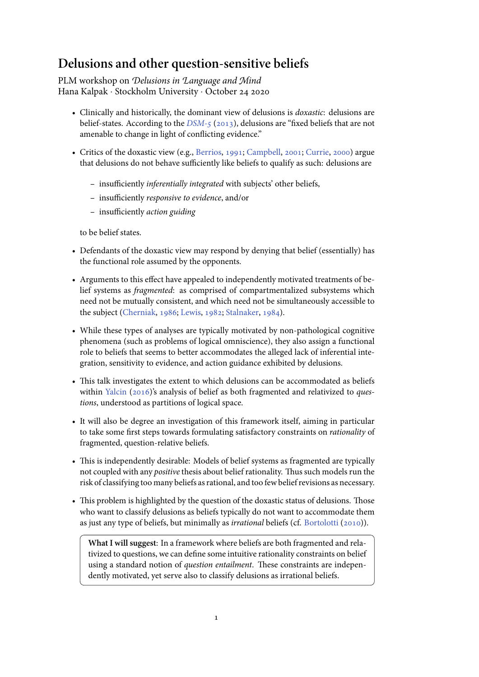# **Delusions and other question-sensitive beliefs**

PLM workshop on *Delusions in Language and Mind* Hana Kalpak *·* Stockholm University *·* October

- Clinically and historically, the dominant view of delusions is *doxastic*: delusions are belief-states. According to the *DSM-5* (2013), delusions are "fixed beliefs that are not amenable to change in light of conflicting evidence."
- Critics of the doxastic view (e.g., Berrios, 1991; Campbell, 2001; Currie, 2000) argue that delusions do not behave s[ufficient](#page-14-0)l[y like](#page-14-0) beliefs to qualify as such: delusions are
	- **–** insufficiently *inferentially integrated* with subjects' ot[her be](#page-14-2)[liefs,](#page-14-3)
	- **–** insufficiently *responsive to [evidence](#page-14-1)*, [and/o](#page-14-1)[r](#page-14-2)
	- **–** insufficiently *action guiding*

to be belief states.

- Defendants of the doxastic view may respond by denying that belief (essentially) has the functional role assumed by the opponents.
- Arguments to this effect have appealed to independently motivated treatments of belief systems as *fragmented*: as comprised of compartmentalized subsystems which need not be mutually consistent, and which need not be simultaneously accessible to the subject (Cherniak, 1986; Lewis, 1982; Stalnaker, 1984).
- While these types of analyses are typically motivated by non-pathological cognitive phenomena (such as problems of logical omniscience), they also assign a functional role to belie[fs that seems to](#page-14-4) [better accom](#page-14-5)[modates the alle](#page-14-6)ged lack of inferential integration, sensitivity to evidence, and action guidance exhibited by delusions.
- This talk investigates the extent to which delusions can be accommodated as beliefs within Yalcin (2016)'s analysis of belief as both fragmented and relativized to *questions*, understood as partitions of logical space.
- It will also be degree an investigation of this framework itself, aiming in particular to take [some first ste](#page-14-7)ps towards formulating satisfactory constraints on *rationality* of fragmented, question-relative beliefs.
- This is independently desirable: Models of belief systems as fragmented are typically not coupled with any *positive* thesis about belief rationality. Thus such models run the risk of classifying too many beliefs as rational, and too few belief revisions as necessary.
- This problem is highlighted by the question of the doxastic status of delusions. Those who want to classify delusions as beliefs typically do not want to accommodate them as just any type of beliefs, but minimally as *irrational* beliefs (cf. Bortolotti (2010)).

**What I will suggest**: In a framework where beliefs are both fragmented and relativized to questions, we can define some intuitive rationality constraints on belief using a standard notion of *question entailment*. These constr[aints are indepen](#page-14-8)dently motivated, yet serve also to classify delusions as irrational beliefs.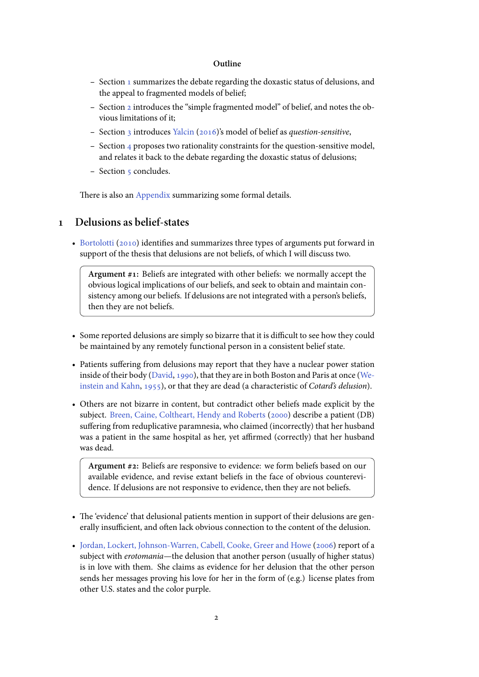#### **Outline**

- **–** Section 1 summarizes the debate regarding the doxastic status of delusions, and the appeal to fragmented models of belief;
- **–** Section 2 introduces the "simple fragmented model" of belief, and notes the obvious li[m](#page-1-0)itations of it;
- **–** Section 3 introduces Yalcin (2016)'s model of belief as *question-sensitive*,
- Section 4 proposes two rationality constraints for the question-sensitive model, and relates it back to the debate regarding the doxastic status of delusions;
- **–** Section 5 concludes.

There is also an Appendix summarizing some formal details.

### **Delusions as belief-states**

<span id="page-1-0"></span>• Bortolotti (2010[\) identifies](#page-14-9) and summarizes three types of arguments put forward in support of the thesis that delusions are not beliefs, of which I will discuss two.

**Argument #1:** Beliefs are integrated with other beliefs: we normally accept the [obvious logica](#page-14-8)l implications of our beliefs, and seek to obtain and maintain consistency among our beliefs. If delusions are not integrated with a person's beliefs, then they are not beliefs.

- Some reported delusions are simply so bizarre that it is difficult to see how they could be maintained by any remotely functional person in a consistent belief state.
- Patients suffering from delusions may report that they have a nuclear power station inside of their body (David, 1990), that they are in both Boston and Paris at once (Weinstein and Kahn, 1955), or that they are dead (a characteristic of *Cotard's delusion*).
- Others are not bizarre in content, but contradict other beliefs made explicit by the subject. Breen, Cai[ne, Coltheart,](#page-14-10)Hendy and Roberts (2000) describe a patient ([DB\)](#page-14-11) [suffering from reduplica](#page-14-11)tive paramnesia, who claimed (incorrectly) that her husband was a patient in the same hospital as her, yet affirmed (correctly) that her husband was dea[d.](#page-14-12)

**Argument #2:** Beliefs are responsive to evidence: we form beliefs based on our available evidence, and revise extant beliefs in the face of obvious counterevidence. If delusions are not responsive to evidence, then they are not beliefs.

- The 'evidence' that delusional patients mention in support of their delusions are generally insufficient, and often lack obvious connection to the content of the delusion.
- Jordan, Lockert, Johnson-Warren, Cabell, Cooke, Greer and Howe (2006) report of a subject with *erotomania*—the delusion that another person (usually of higher status) is in love with them. She claims as evidence for her delusion that the other person sends her messages proving his love for her in the form of (e.g.) li[cense](#page-14-13) plates from [other U.S. states and the color purple.](#page-14-13)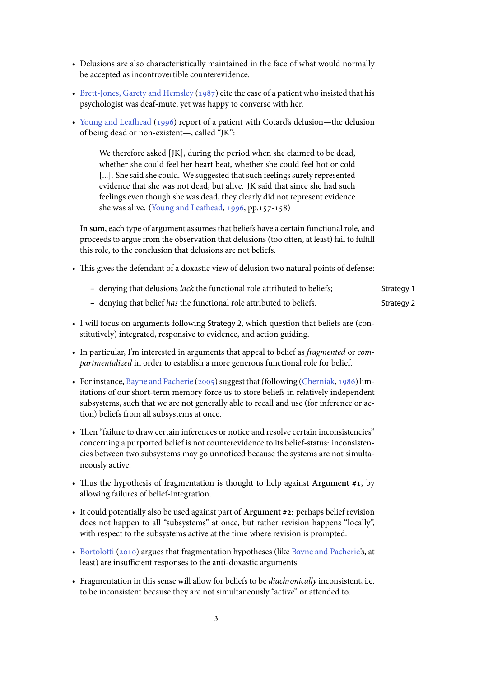- Delusions are also characteristically maintained in the face of what would normally be accepted as incontrovertible counterevidence.
- Brett-Jones, Garety and Hemsley (1987) cite the case of a patient who insisted that his psychologist was deaf-mute, yet was happy to converse with her.
- Young and Leafhead (1996) report of a patient with Cotard's delusion—the delusion [of being dead or non-existent—, called](#page-14-14) "JK":

We therefore asked [JK], during the period when she claimed to be dead, [whether she could fee](#page-15-0)l her heart beat, whether she could feel hot or cold [...]. She said she could. We suggested that such feelings surely represented evidence that she was not dead, but alive. JK said that since she had such feelings even though she was dead, they clearly did not represent evidence she was alive. (Young and Leafhead, 1996, pp.157-158)

**In sum**, each type of argument assumes that beliefs have a certain functional role, and proceeds to argue from the observation that delusions (too often, at least) fail to fulfill this role, to the conc[lusion that delusions are no](#page-15-0)t beliefs.

• This gives the defendant of a doxastic view of delusion two natural points of defense:

| - denying that delusions <i>lack</i> the functional role attributed to beliefs; | Strategy 1 |
|---------------------------------------------------------------------------------|------------|
|---------------------------------------------------------------------------------|------------|

- **–** denying that belief *has* the functional role attributed to beliefs. Strategy 2
- I will focus on arguments following Strategy 2, which question that beliefs are (constitutively) integrated, responsive to evidence, and action guiding.
- In particular, I'm interested in arguments that appeal to belief as *fragmented* or *compartmentalized* in order to establish a more generous functional role for belief.
- For instance, Bayne and Pacherie (2005) suggest that (following (Cherniak, 1986) limitations of our short-term memory force us to store beliefs in relatively independent subsystems, such that we are not generally able to recall and use (for inference or action) beliefs [from all subsystems at onc](#page-14-15)e.
- Then "failure to draw certain inferences or notice and resolve certain inconsistencies" concerning a purported belief is not counterevidence to its belief-status: inconsistencies between two subsystems may go unnoticed because the systems are not simultaneously active.
- Thus the hypothesis of fragmentation is thought to help against **Argument #1**, by allowing failures of belief-integration.
- It could potentially also be used against part of **Argument #2**: perhaps belief revision does not happen to all "subsystems" at once, but rather revision happens "locally", with respect to the subsystems active at the time where revision is prompted.
- Bortolotti (2010) argues that fragmentation hypotheses (like Bayne and Pacherie's, at least) are insufficient responses to the anti-doxastic arguments.
- Fragmentation in this sense will allow for beliefs to be *diachronically* inconsistent, i.e. [to be inconsisten](#page-14-8)t because they are not simultaneously "activ[e" or attended to.](#page-14-15)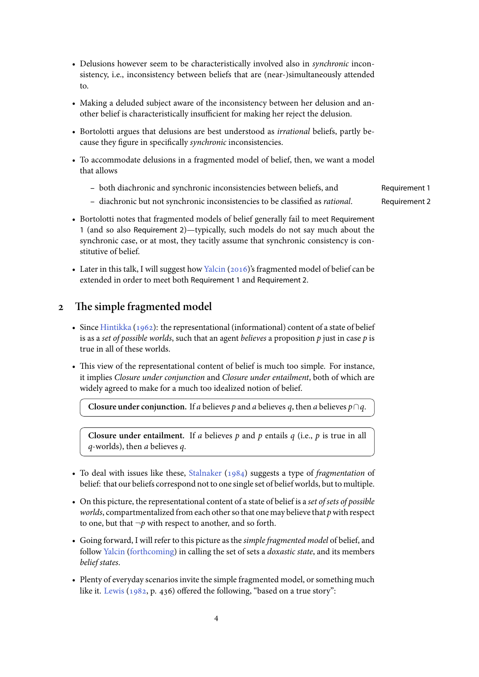- Delusions however seem to be characteristically involved also in *synchronic* inconsistency, i.e., inconsistency between beliefs that are (near-)simultaneously attended to.
- Making a deluded subject aware of the inconsistency between her delusion and another belief is characteristically insufficient for making her reject the delusion.
- Bortolotti argues that delusions are best understood as *irrational* beliefs, partly because they figure in specifically *synchronic* inconsistencies.
- To accommodate delusions in a fragmented model of belief, then, we want a model that allows
	- **–** both diachronic and synchronic inconsistencies between beliefs, and Requirement 1
	- **–** diachronic but not synchronic inconsistencies to be classified as *rational*. Requirement 2
- Bortolotti notes that fragmented models of belief generally fail to meet Requirement 1 (and so also Requirement 2)—typically, such models do not say much about the synchronic case, or at most, they tacitly assume that synchronic consistency is constitutive of belief.
- Later in this talk, I will suggest how Yalcin ( $2016$ )'s fragmented model of belief can be extended in order to meet both Requirement 1 and Requirement 2.

# **The simple fragmented mod[el](#page-14-7)**

- <span id="page-3-0"></span>• Since Hintikka  $(1962)$ : the representational (informational) content of a state of belief is as a *set of possible worlds*, such that an agent *believes* a proposition *p* just in case *p* is true in all of these worlds.
- This [view of the repre](#page-14-16)sentational content of belief is much too simple. For instance, it implies *Closure under conjunction* and *Closure under entailment*, both of which are widely agreed to make for a much too idealized notion of belief.

**Closure under conjunction.** If *a* believes *p* and *a* believes *q*, then *a* believes *p*  $\cap$ *q*.

**Closure under entailment.** If *a* believes *p* and *p* entails *q* (i.e., *p* is true in all *q*-worlds), then *a* believes *q*.

- To deal with issues like these, Stalnaker (1984) suggests a type of *fragmentation* of belief: that our beliefs correspond not to one single set of belief worlds, but to multiple.
- On this picture, the representational content of a state of belief is a *set of sets of possible worlds*, compartmentalized fro[m each oth](#page-14-6)e[r so th](#page-14-6)at one may believe that *p* with respect to one, but that  $\neg p$  with respect to another, and so forth.
- Going forward, I will refer to this picture as the *simple fragmented model* of belief, and follow Yalcin (forthcoming) in calling the set of sets a *doxastic state*, and its members *belief states*.
- Plenty of everyday scenarios invite the simple fragmented model, or something much like it. [Lewis](#page-15-1)  $(1982, p. 436)$  offered the following, "based on a true story":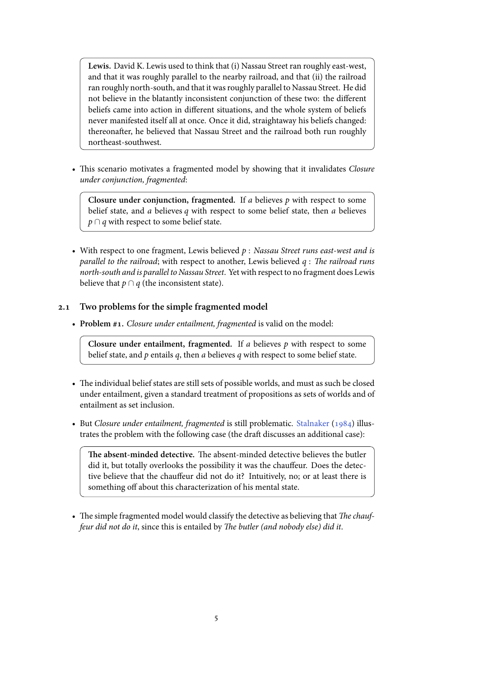**Lewis.** David K. Lewis used to think that (i) Nassau Street ran roughly east-west, and that it was roughly parallel to the nearby railroad, and that (ii) the railroad ran roughly north-south, and that it was roughly parallel to Nassau Street. He did not believe in the blatantly inconsistent conjunction of these two: the different beliefs came into action in different situations, and the whole system of beliefs never manifested itself all at once. Once it did, straightaway his beliefs changed: thereonafter, he believed that Nassau Street and the railroad both run roughly northeast-southwest.

• This scenario motivates a fragmented model by showing that it invalidates *Closure under conjunction, fragmented*:

**Closure under conjunction, fragmented.** If *a* believes *p* with respect to some belief state, and *a* believes *q* with respect to some belief state, then *a* believes *p* ∩ *q* with respect to some belief state.

• With respect to one fragment, Lewis believed *p* : *Nassau Street runs east-west and is parallel to the railroad*; with respect to another, Lewis believed *q* : *The railroad runs north-south and is parallel to Nassau Street*. Yet with respect to no fragment does Lewis believe that  $p \cap q$  (the inconsistent state).

### **2.1 Two problems for the simple fragmented model**

• **Problem #1.** *Closure under entailment, fragmented* is valid on the model:

**Closure under entailment, fragmented.** If *a* believes *p* with respect to some belief state, and *p* entails *q*, then *a* believes *q* with respect to some belief state.

- The individual belief states are still sets of possible worlds, and must as such be closed under entailment, given a standard treatment of propositions as sets of worlds and of entailment as set inclusion.
- But *Closure under entailment, fragmented* is still problematic. Stalnaker (1984) illustrates the problem with the following case (the draft discusses an additional case):

**The absent-minded detective.** The absent-minded detective believes the butler did it, but totally overlooks the possibility it was the chauff[eur. Does](#page-14-6) t[he de](#page-14-6)tective believe that the chauffeur did not do it? Intuitively, no; or at least there is something off about this characterization of his mental state.

• The simple fragmented model would classify the detective as believing that *The chauffeur did not do it*, since this is entailed by *The butler (and nobody else) did it*.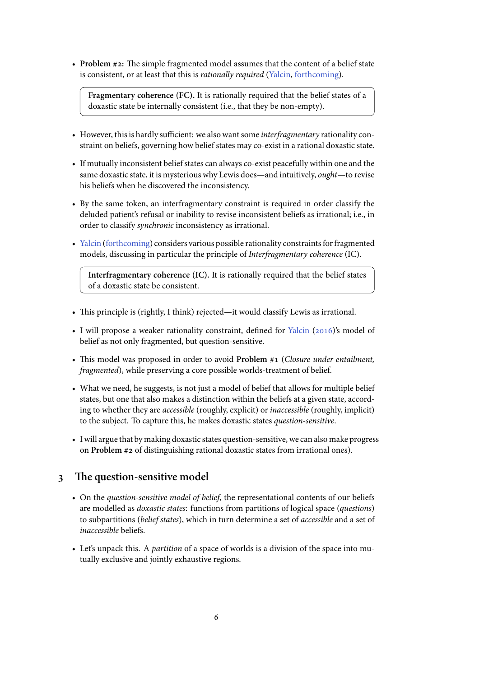• **Problem #2:** The simple fragmented model assumes that the content of a belief state is consistent, or at least that this is *rationally required* (Yalcin, forthcoming).

**Fragmentary coherence (FC).** It is rationally required that the belief states of a doxastic state be internally consistent (i.e., that they be non-empty).

- However, this is hardly sufficient: we also want some *interfragmentary* rationality constraint on beliefs, governing how belief states may co-exist in a rational doxastic state.
- If mutually inconsistent belief states can always co-exist peacefully within one and the same doxastic state, it is mysterious why Lewis does—and intuitively, *ought*—to revise his beliefs when he discovered the inconsistency.
- By the same token, an interfragmentary constraint is required in order classify the deluded patient's refusal or inability to revise inconsistent beliefs as irrational; i.e., in order to classify *synchronic* inconsistency as irrational.
- Yalcin (forthcoming) considers various possible rationality constraints for fragmented models, discussing in particular the principle of *Interfragmentary coherence* (IC).

**Interfragmentary coherence (IC).** It is rationally required that the belief states [of a doxastic state](#page-15-1) be consistent.

- This principle is (rightly, I think) rejected—it would classify Lewis as irrational.
- I will propose a weaker rationality constraint, defined for Yalcin (2016)'s model of belief as not only fragmented, but question-sensitive.
- This model was proposed in order to avoid **Problem #1** (*Closure under entailment, fragmented*), while preserving a core possible worlds-treat[ment of](#page-14-7) b[elief.](#page-14-7)
- What we need, he suggests, is not just a model of belief that allows for multiple belief states, but one that also makes a distinction within the beliefs at a given state, according to whether they are *accessible* (roughly, explicit) or *inaccessible* (roughly, implicit) to the subject. To capture this, he makes doxastic states *question-sensitive*.
- I will argue that by making doxastic states question-sensitive, we can also make progress on **Problem #2** of distinguishing rational doxastic states from irrational ones).

# **The question-sensitive model**

- <span id="page-5-0"></span>• On the *question-sensitive model of belief*, the representational contents of our beliefs are modelled as *doxastic states*: functions from partitions of logical space (*questions*) to subpartitions (*belief states*), which in turn determine a set of *accessible* and a set of *inaccessible* beliefs.
- Let's unpack this. A *partition* of a space of worlds is a division of the space into mutually exclusive and jointly exhaustive regions.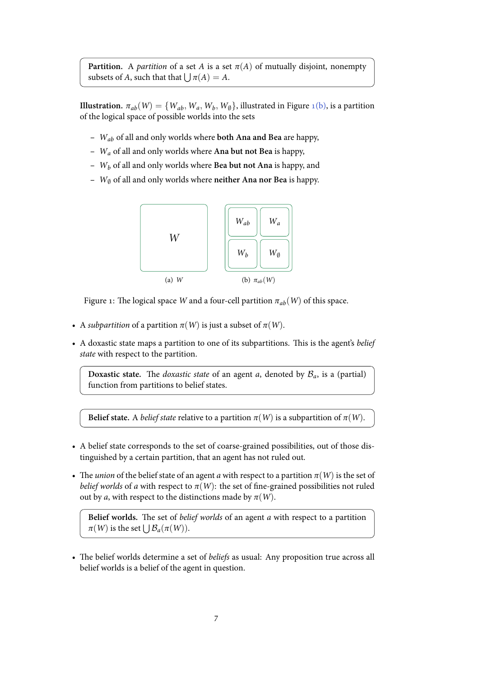**Partition.** A *partition* of a set *A* is a set  $\pi(A)$  of mutually disjoint, nonempty subsets of *A*, such that that  $\bigcup \pi(A) = A$ .

**Illustration.**  $\pi_{ab}(W) = \{W_{ab}, W_a, W_b, W_{\emptyset}\}$ , illustrated in Figure 1(b), is a partition of the logical space of possible worlds into the sets

- **–** *Wab* of all and only worlds where **both Ana and Bea** are hap[py,](#page-6-0)
- **–** *W<sup>a</sup>* of all and only worlds where **Ana but not Bea** is happy,
- **–** *W<sup>b</sup>* of all and only worlds where **Bea but not Ana** is happy, and
- **–** *W<sup>∅</sup>* of all and only worlds where **neither Ana nor Bea** is happy.

<span id="page-6-0"></span>

Figure 1: The logical space *W* and a four-cell partition  $\pi_{ab}(W)$  of this space.

- A *subpartition* of a partition  $\pi(W)$  is just a subset of  $\pi(W)$ .
- A doxastic state maps a partition to one of its subpartitions. This is the agent's *belief state* with respect to the partition.

**Doxastic state.** The *doxastic state* of an agent *a*, denoted by  $B_a$ , is a (partial) function from partitions to belief states.

**Belief state.** A *belief state* relative to a partition  $\pi(W)$  is a subpartition of  $\pi(W)$ .

- A belief state corresponds to the set of coarse-grained possibilities, out of those distinguished by a certain partition, that an agent has not ruled out.
- The *union* of the belief state of an agent *a* with respect to a partition  $\pi(W)$  is the set of *belief worlds* of *a* with respect to  $\pi(W)$ : the set of fine-grained possibilities not ruled out by *a*, with respect to the distinctions made by  $\pi(W)$ .

**Belief worlds.** The set of *belief worlds* of an agent *a* with respect to a partition *π*(*W*) is the set  $\bigcup B_a(\pi(W))$ .

• The belief worlds determine a set of *beliefs* as usual: Any proposition true across all belief worlds is a belief of the agent in question.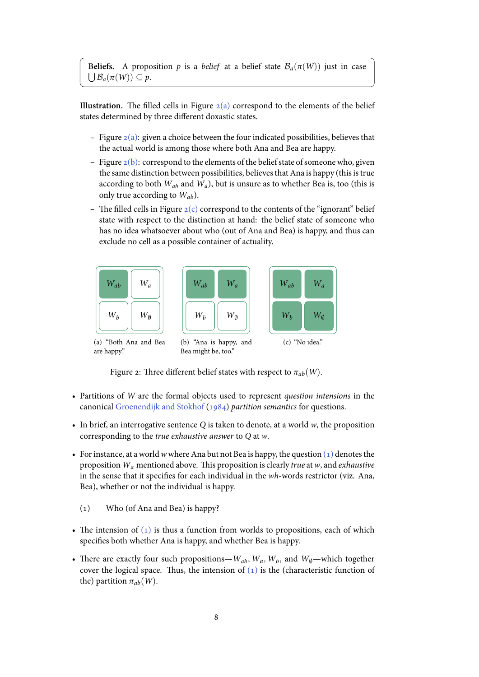**Illustration.** The filled cells in Figure  $2(a)$  correspond to the elements of the belief states determined by three different doxastic states.

- **–** Figure  $2(a)$ : given a choice between the four indicated possibilities, believes that the actual world is among those [where](#page-7-0) both Ana and Bea are happy.
- **–** Figure (b): correspond to the elements of the belief state of someone who, given the sa[me di](#page-7-0)stinction between possibilities, believes that Ana is happy (this is true according to both  $W_{ab}$  and  $W_a$ ), but is unsure as to whether Bea is, too (this is only true according to *Wab*).
- The fil[led ce](#page-7-1)lls in Figure  $2(c)$  correspond to the contents of the "ignorant" belief state with respect to the distinction at hand: the belief state of someone who has no idea whatsoever about who (out of Ana and Bea) is happy, and thus can exclude no cell as a poss[ible](#page-7-2) container of actuality.

<span id="page-7-0"></span>

<span id="page-7-2"></span><span id="page-7-1"></span>Figure 2: Three different belief states with respect to  $\pi_{ab}(W)$ .

- Partitions of *W* are the formal objects used to represent *question intensions* in the canonical Groenendijk and Stokhof (1984) *partition semantics* for questions.
- In brief, an interrogative sentence *Q* is taken to denote, at a world *w*, the proposition corresponding to the *true exhaustive answer* to *Q* at *w*.
- For instan[ce, at a world](#page-14-17) *w* where Ana [but no](#page-14-17)t Bea is happy, the question  $(1)$  denotes the proposition *Wa* mentioned above. This proposition is clearly *true* at *w*, and *exhaustive* in the sense that it specifies for each individual in the *wh*-words restrictor (viz. Ana, Bea), whether or not the individual is happy.
	- () Who (of Ana and Bea) is happy?
- <span id="page-7-3"></span>• The intension of  $(1)$  is thus a function from worlds to propositions, each of which specifies both whether Ana is happy, and whether Bea is happy.
- There are exactly four such propositions— $W_{ab}$ ,  $W_a$ ,  $W_b$ , and  $W_{\emptyset}$ —which together cover the logical [spa](#page-7-3)ce. Thus, the intension of  $(1)$  is the (characteristic function of the) partition  $\pi_{ab}(W)$ .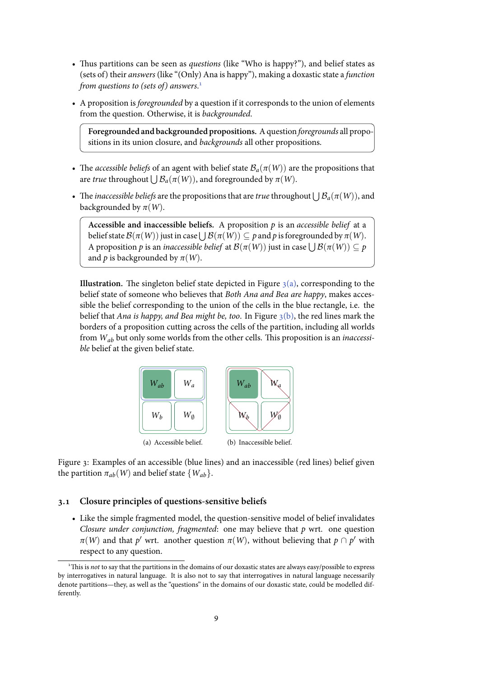- Thus partitions can be seen as *questions* (like "Who is happy?"), and belief states as (sets of) their *answers* (like "(Only) Ana is happy"), making a doxastic state a *function from questions to (sets of) answers*.
- A proposition is *foregrounded* by a question if it corresponds to the union of elements from the question. Otherwise, it is *backgrounded*.

**Foregrounded and backgrounded propositions.** A question *foregrounds* all propositions in its union closure, and *backgrounds* all other propositions.

- The *accessible beliefs* of an agent with belief state  $B_a(\pi(W))$  are the propositions that are *true* throughout  $\bigcup \mathcal{B}_a(\pi(W))$ , and foregrounded by  $\pi(W)$ .
- The *inaccessible beliefs* are the propositions that are *true* throughout  $\bigcup B_a(\pi(W))$ , and backgrounded by  $\pi(W)$ .

**Accessible and inaccessible beliefs.** A proposition *p* is an *accessible belief* at a belief state  $\mathcal{B}(\pi(W))$  just in case  $\bigcup \mathcal{B}(\pi(W)) \subseteq p$  and  $p$  is foregrounded by  $\pi(W)$ . A proposition  $p$  is an *inaccessible belief* at  $\mathcal{B}(\pi(W))$  just in case  $\bigcup \mathcal{B}(\pi(W)) \subseteq p$ and *p* is backgrounded by  $\pi(W)$ .

**Illustration.** The singleton belief state depicted in Figure  $\mathfrak{z}(a)$ , corresponding to the belief state of someone who believes that *Both Ana and Bea are happy*, makes accessible the belief corresponding to the union of the cells in the blue rectangle, i.e. the belief that *Ana is happy, and Bea might be, too.* In Figure  $\mathfrak{z}(b)$ , the red lines mark the borders of a proposition cutting across the cells of the par[tition](#page-8-0), including all worlds from *Wab* but only some worlds from the other cells. This proposition is an *inaccessible* belief at the given belief state.



<span id="page-8-0"></span>Figure 3: Examples of an accessible (blue lines) and an inaccessible (red lines) belief given the partition  $\pi_{ab}(W)$  and belief state  $\{W_{ab}\}.$ 

#### **3.1 Closure principles of questions-sensitive beliefs**

• Like the simple fragmented model, the question-sensitive model of belief invalidates *Closure under conjunction, fragmented*: one may believe that *p* wrt. one question  $\pi(W)$  and that  $p'$  wrt. another question  $\pi(W)$ , without believing that  $p \cap p'$  with respect to any question.

This is *not* to say that the partitions in the domains of our doxastic states are always easy/possible to express by interrogatives in natural language. It is also not to say that interrogatives in natural language necessarily denote partitions—they, as well as the "questions" in the domains of our doxastic state, could be modelled differently.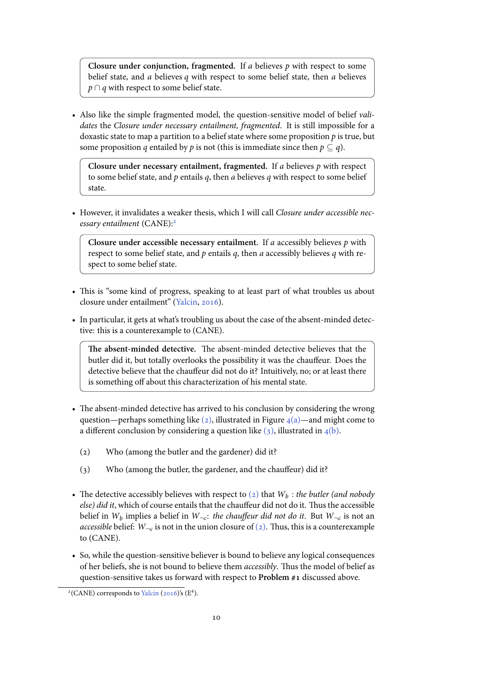**Closure under conjunction, fragmented.** If *a* believes *p* with respect to some belief state, and *a* believes *q* with respect to some belief state, then *a* believes *p* ∩ *q* with respect to some belief state.

• Also like the simple fragmented model, the question-sensitive model of belief *validates* the *Closure under necessary entailment, fragmented*. It is still impossible for a doxastic state to map a partition to a belief state where some proposition *p* is true, but some proposition *q* entailed by *p* is not (this is immediate since then  $p \subseteq q$ ).

**Closure under necessary entailment, fragmented.** If *a* believes *p* with respect to some belief state, and *p* entails *q*, then *a* believes *q* with respect to some belief state.

• However, it invalidates a weaker thesis, which I will call *Closure under accessible necessary entailment* (CANE):

**Closure under accessible necessary entailment.** If *a* accessibly believes *p* with respect to some belief state, and *p* entails *q*, then *a* accessibly believes *q* with respect to some belief stat[e.](#page-9-0)

- This is "some kind of progress, speaking to at least part of what troubles us about closure under entailment" (Yalcin, 2016).
- In particular, it gets at what's troubling us about the case of the absent-minded detective: this is a counterexample to (CANE).

**The absent-minded det[ective.](#page-14-7)** [The a](#page-14-7)bsent-minded detective believes that the butler did it, but totally overlooks the possibility it was the chauffeur. Does the detective believe that the chauffeur did not do it? Intuitively, no; or at least there is something off about this characterization of his mental state.

- The absent-minded detective has arrived to his conclusion by considering the wrong question—perhaps something like (2), illustrated in Figure  $4(a)$ —and might come to a different conclusion by considering a question like  $(3)$ , illustrated in  $4(b)$ .
	- (2) Who (among the butler an[d th](#page-9-1)e gardener) did it?
	- () Who (among the butler, the gardener, and th[e ch](#page-9-2)auffeur) did i[t?](#page-10-0)
- <span id="page-9-2"></span><span id="page-9-1"></span>• The detective accessibly believes with respect to  $(z)$  that  $W_b$ : *the butler (and nobody else) did it*, which of course entails that the chauffeur did not do it. Thus the accessible belief in  $W_b$  implies a belief in  $W_{\neg c}$ : *the chauffeur did not do it*. But  $W_{\neg c}$  is not an *accessible* belief:  $W_{\neg c}$  is not in the union closure [of](#page-9-1) (2). Thus, this is a counterexample to (CANE).
- So, while the question-sensitive believer is bound to believe any logical consequences of her beliefs, she is not bound to believe them *ac[cessi](#page-9-1)bly*. Thus the model of belief as question-sensitive takes us forward with respect to **Problem #1** discussed above.

<span id="page-9-0"></span> $^{2}$ (CANE) corresponds to Yalcin (2016)'s (E<sup>4</sup>).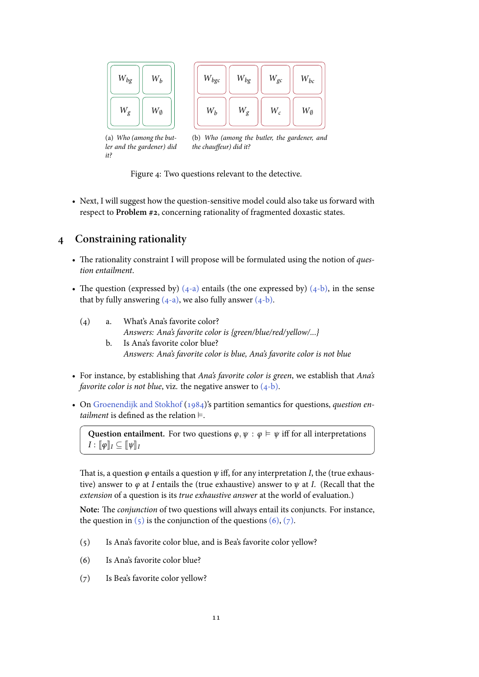

<span id="page-10-0"></span>Figure 4: Two questions relevant to the detective.

• Next, I will suggest how the question-sensitive model could also take us forward with respect to **Problem #2**, concerning rationality of fragmented doxastic states.

### **Constraining rationality**

- The rationality constraint I will propose will be formulated using the notion of *question entailment*.
- The question (expressed by)  $(4-a)$  entails (the one expressed by)  $(4-b)$ , in the sense that by fully answering  $(4-a)$ , we also fully answer  $(4-b)$ .
	- () a. What's Ana's favorite color? *Answers: Ana's f[avorite](#page-10-1) color is {green[/blue/r](#page-10-2)ed/yellow[/...}](#page-10-2)*
		- b. Is Ana's fa[vorite](#page-10-1) color blue? *Answers: Ana's favorite color is blue, Ana's favorite color is not blue*
- <span id="page-10-2"></span><span id="page-10-1"></span>• For instance, by establishing that *Ana's favorite color is green*, we establish that *Ana's favorite color is not blue*, viz. the negative answer to  $(4-b)$ .
- On Groenendijk and Stokhof (1984)'s partition semantics for questions, *question entailment* is defined as the relation ⊨.

**Question entailment.** For two questions  $\varphi, \psi : \varphi \models \psi$  iff for all interpretations  $I: [\![\varphi]\!]_I \subseteq [\![\psi]\!]_I$ 

That is, a question *φ* entails a question *ψ* iff, for any interpretation *I*, the (true exhaustive) answer to *φ* at *I* entails the (true exhaustive) answer to *ψ* at *I*. (Recall that the *extension* of a question is its *true exhaustive answer* at the world of evaluation.)

**Note:** The *conjunction* of two questions will always entail its conjuncts. For instance, the question in  $(5)$  is the conjunction of the questions  $(6)$ ,  $(7)$ .

- () Is Ana's favorite color blue, and is Bea's favorite color yellow?
- () Is Ana's [favo](#page-10-3)rite color blue?
- <span id="page-10-5"></span><span id="page-10-4"></span><span id="page-10-3"></span>(7) Is Bea's favorite color yellow?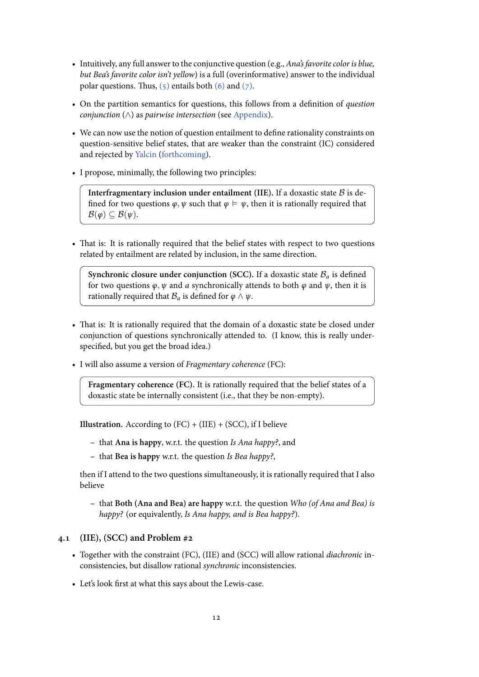- Intuitively, any full answer to the conjunctive question (e.g., *Ana's favorite color is blue, but Bea's favorite color isn't yellow*) is a full (overinformative) answer to the individual polar questions. Thus,  $(5)$  entails both  $(6)$  and  $(7)$ .
- On the partition semantics for questions, this follows from a definition of *question conjunction* (*∧*) as *pairwise intersection* (see Appendix).
- We can now use the no[tion](#page-10-3) of question [ent](#page-10-4)ail[ment](#page-10-5) to define rationality constraints on question-sensitive belief states, that are weaker than the constraint (IC) considered and rejected by Yalcin (forthcoming).
- I propose, minimally, the following two principles:

**Interfragme[ntary inclusion unde](#page-15-1)r entailment (IIE).** If a doxastic state *B* is defined for two questions  $\varphi, \psi$  such that  $\varphi \models \psi$ , then it is rationally required that  $\mathcal{B}(\varphi) \subseteq \mathcal{B}(\psi)$ .

• That is: It is rationally required that the belief states with respect to two questions related by entailment are related by inclusion, in the same direction.

**Synchronic closure under conjunction (SCC).** If a doxastic state  $B_a$  is defined for two questions  $\varphi$ ,  $\psi$  and *a* synchronically attends to both  $\varphi$  and  $\psi$ , then it is rationally required that  $B_a$  is defined for  $\varphi \wedge \psi$ .

- That is: It is rationally required that the domain of a doxastic state be closed under conjunction of questions synchronically attended to. (I know, this is really underspecified, but you get the broad idea.)
- I will also assume a version of *Fragmentary coherence* (FC):

**Fragmentary coherence (FC).** It is rationally required that the belief states of a doxastic state be internally consistent (i.e., that they be non-empty).

**Illustration.** According to (FC) + (IIE) + (SCC), if I believe

- **–** that **Ana is happy**, w.r.t. the question *Is Ana happy?*, and
- **–** that **Bea is happy** w.r.t. the question *Is Bea happy?*,

then if I attend to the two questions simultaneously, it is rationally required that I also believe

**–** that **Both (Ana and Bea) are happy** w.r.t. the question *Who (of Ana and Bea) is happy?* (or equivalently, *Is Ana happy, and is Bea happy?*).

#### **4.1 (IIE), (SCC) and Problem #2**

- Together with the constraint (FC), (IIE) and (SCC) will allow rational *diachronic* inconsistencies, but disallow rational *synchronic* inconsistencies.
- Let's look first at what this says about the Lewis-case.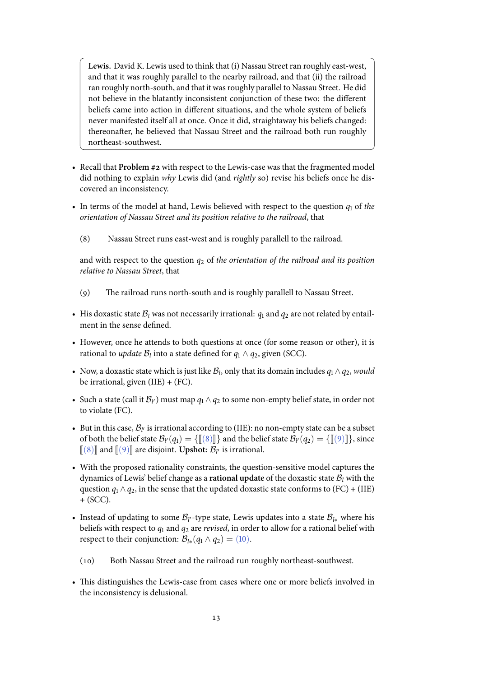**Lewis.** David K. Lewis used to think that (i) Nassau Street ran roughly east-west, and that it was roughly parallel to the nearby railroad, and that (ii) the railroad ran roughly north-south, and that it was roughly parallel to Nassau Street. He did not believe in the blatantly inconsistent conjunction of these two: the different beliefs came into action in different situations, and the whole system of beliefs never manifested itself all at once. Once it did, straightaway his beliefs changed: thereonafter, he believed that Nassau Street and the railroad both run roughly northeast-southwest.

- Recall that **Problem #2** with respect to the Lewis-case was that the fragmented model did nothing to explain *why* Lewis did (and *rightly* so) revise his beliefs once he discovered an inconsistency.
- In terms of the model at hand, Lewis believed with respect to the question  $q_1$  of the *orientation of Nassau Street and its position relative to the railroad*, that
	- (8) Nassau Street runs east-west and is roughly parallell to the railroad.

<span id="page-12-0"></span>and with respect to the question  $q_2$  of the orientation of the railroad and its position *relative to Nassau Street*, that

- () The railroad runs north-south and is roughly parallell to Nassau Street.
- <span id="page-12-1"></span>• His doxastic state  $B_l$  was not necessarily irrational:  $q_1$  and  $q_2$  are not related by entailment in the sense defined.
- However, once he attends to both questions at once (for some reason or other), it is rational to *update*  $\mathcal{B}_l$  into a state defined for  $q_1 \wedge q_2$ , given (SCC).
- Now, a doxastic state which is just like  $\mathcal{B}_l$ , only that its domain includes  $q_1 \wedge q_2$ , *would* be irrational, given  $(IIE) + (FC)$ .
- Such a state (call it  $\mathcal{B}_{l'}$ ) must map  $q_1 \wedge q_2$  to some non-empty belief state, in order not to violate (FC).
- But in this case,  $B_V$  is irrational according to (IIE): no non-empty state can be a subset of both the belief state  $\mathcal{B}_{l'}(q_1) = \{\llbracket (\mathbf{8}) \rrbracket \}$  and the belief state  $\mathcal{B}_{l'}(q_2) = \{\llbracket (\mathbf{9}) \rrbracket \}$ , since  $\llbracket (8) \rrbracket$  and  $\llbracket (9) \rrbracket$  are disjoint. Upshot:  $\mathcal{B}_{l'}$  is irrational.
- With the proposed rationality constraints, the question-sensitive model captures the dynamics of Lewis' belief change a[s a](#page-12-0) **rational update** of the doxastic state  $\mathcal{B}_l$  $\mathcal{B}_l$  $\mathcal{B}_l$  with the [ques](#page-12-0)tion  $q_1 \wedge q_2$ , in the sense that the updated doxastic state conforms to (FC) + (IIE)  $+$  (SCC).
- Instead of updating to some *B<sup>l</sup> ′*-type state, Lewis updates into a state *Bl<sup>∗</sup>* where his beliefs with respect to  $q_1$  and  $q_2$  are *revised*, in order to allow for a rational belief with respect to their conjunction:  $\mathcal{B}_{l*}(q_1 \wedge q_2) = (10)$ .
	- (10) Both Nassau Street and the railroad run roughly northeast-southwest.
- <span id="page-12-2"></span>• This distinguishes the Lewis-case from case[s wh](#page-12-2)ere one or more beliefs involved in the inconsistency is delusional.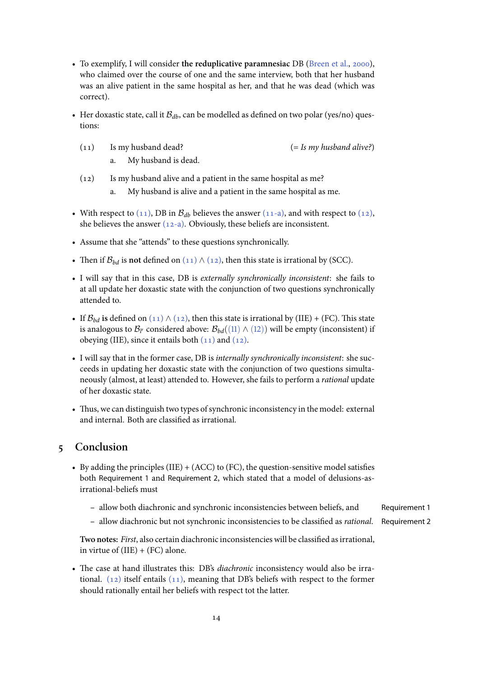- To exemplify, I will consider the reduplicative paramnesiac DB (Breen et al., 2000), who claimed over the course of one and the same interview, both that her husband was an alive patient in the same hospital as her, and that he was dead (which was correct).
- Her doxastic state, call it  $B_{db}$ , can be modelled as defined on two polar (yes/no) questions:
	- () Is my husband dead? (= *Is my husband alive?*)
		-

- a. My husband is dead.
- <span id="page-13-0"></span> $(12)$  Is my husband alive and a patient in the same hospital as me?
	- a. My husband is alive and a patient in the same hospital as me.
- <span id="page-13-3"></span><span id="page-13-1"></span>• With respect to  $(11)$ , DB in  $B_{db}$  believes the answer  $(11-a)$ , and with respect to  $(12)$ , she believes the answer  $(12-a)$ . Obviously, these beliefs are inconsistent.
- <span id="page-13-2"></span>• Assume that she "attends" to these questions synchronically.
- Then if  $\mathcal{B}_{bd}$  is not [de](#page-13-0)fin[ed on](#page-13-2)  $(11) \wedge (12)$ , then this s[tate is i](#page-13-1)rrational by (SCC).
- I will say that in this case, DB is *externally synchronically inconsistent*: she fails to at all update her doxastic state with the conjunction of two questions synchronically attended to.
- If  $\mathcal{B}_{bd}$  is defined on (11)  $\wedge$  (12), then this state is irrational by (IIE) + (FC). This state is analogous to  $\mathcal{B}_{l'}$  considered above:  $\mathcal{B}_{bd}((11)\wedge (12))$  will be empty (inconsistent) if obeying (IIE), since it entails both  $(11)$  and  $(12)$ .
- I will say that in the [form](#page-13-0)e[r case](#page-13-3), DB is *internally synchronically inconsistent*: she succeeds in updating her doxastic state with [the c](#page-13-0)o[njunc](#page-13-3)tion of two questions simultaneously (almost, at least) attended [to. H](#page-13-0)owe[ver, s](#page-13-3)he fails to perform a *rational* update of her doxastic state.
- Thus, we can distinguish two types of synchronic inconsistency in the model: external and internal. Both are classified as irrational.

# **Conclusion**

- By adding the principles (IIE) + (ACC) to (FC), the question-sensitive model satisfies both Requirement 1 and Requirement 2, which stated that a model of delusions-asirrational-beliefs must
	- **–** allow both diachronic and synchronic inconsistencies between beliefs, and Requirement 1
	- **–** allow diachronic but not synchronic inconsistencies to be classified as *rational*. Requirement 2

**Two notes:** *First*, also certain diachronic inconsistencies will be classified as irrational, in virtue of  $(IIE) + (FC)$  alone.

• The case at hand illustrates this: DB's *diachronic* inconsistency would also be irrational.  $(12)$  itself entails  $(11)$ , meaning that DB's beliefs with respect to the former should rationally entail her beliefs with respect tot the latter.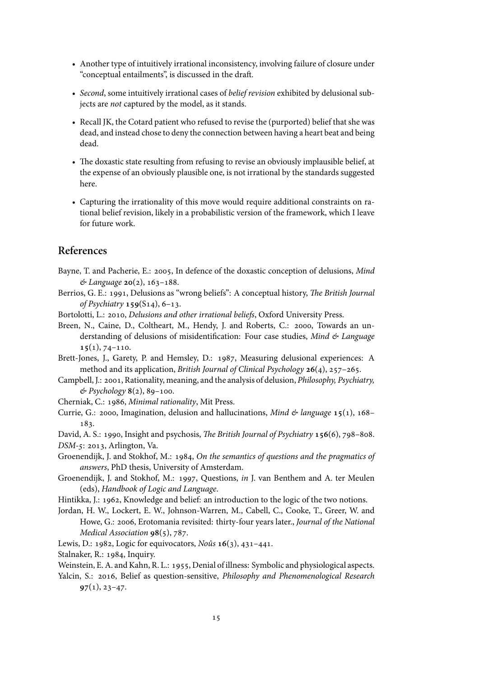- Another type of intuitively irrational inconsistency, involving failure of closure under "conceptual entailments", is discussed in the draft.
- *Second*, some intuitively irrational cases of *belief revision* exhibited by delusional subjects are *not* captured by the model, as it stands.
- Recall JK, the Cotard patient who refused to revise the (purported) belief that she was dead, and instead chose to deny the connection between having a heart beat and being dead.
- The doxastic state resulting from refusing to revise an obviously implausible belief, at the expense of an obviously plausible one, is not irrational by the standards suggested here.
- Capturing the irrationality of this move would require additional constraints on rational belief revision, likely in a probabilistic version of the framework, which I leave for future work.

## <span id="page-14-9"></span>**References**

- <span id="page-14-15"></span>Bayne, T. and Pacherie, E.: 2005, In defence of the doxastic conception of delusions, *Mind*  $\&$  Language  $20(2)$ ,  $163-188$ .
- <span id="page-14-1"></span>Berrios, G. E.: 1991, Delusions as "wrong beliefs": A conceptual history, *The British Journal of Psychiatry* **159**(S<sub>14</sub>), 6-13.
- <span id="page-14-8"></span>Bortolotti, L.: 2010, *Delusions and other irrational beliefs*, Oxford University Press.
- <span id="page-14-12"></span>Breen, N., Caine, D., Coltheart, M., Hendy, J. and Roberts, C.: 2000, Towards an understanding of delusions of misidentification: Four case studies, *Mind & Language*  $15(1), 74-110.$
- <span id="page-14-14"></span>Brett-Jones, J., Garety, P. and Hemsley, D.: 1987, Measuring delusional experiences: A method and its application, *British Journal of Clinical Psychology* 26(4), 257-265.
- <span id="page-14-2"></span>Campbell, J.: 2001, Rationality, meaning, and the analysis of delusion, *Philosophy, Psychiatry,*  $\&$  Psychology 8(2), 89-100.
- <span id="page-14-4"></span>Cherniak, C.: , *Minimal rationality*, Mit Press.
- <span id="page-14-3"></span>Currie, G.: 2000, Imagination, delusion and hallucinations, *Mind & language* **15**(1), 168– 183.

<span id="page-14-10"></span><span id="page-14-0"></span>David, A. S.: 1990, Insight and psychosis, *The British Journal of Psychiatry* 156(6), 798-808. *DSM-5*: 2013, Arlington, Va.

- <span id="page-14-17"></span>Groenendijk, J. and Stokhof, M.: , *On the semantics of questions and the pragmatics of answers*, PhD thesis, University of Amsterdam.
- <span id="page-14-18"></span>Groenendijk, J. and Stokhof, M.: 1997, Questions, *in* J. van Benthem and A. ter Meulen (eds), *Handbook of Logic and Language*.
- <span id="page-14-16"></span>Hintikka, J.: 1962, Knowledge and belief: an introduction to the logic of the two notions.
- <span id="page-14-13"></span>Jordan, H. W., Lockert, E. W., Johnson-Warren, M., Cabell, C., Cooke, T., Greer, W. and Howe, G.: 2006, Erotomania revisited: thirty-four years later., *Journal of the National Medical Association*  $98(5)$ ,  $787$ .
- <span id="page-14-5"></span>Lewis, D.: 1982, Logic for equivocators, *Noûs*  $16(3)$ , 431-441.

<span id="page-14-6"></span>Stalnaker, R.: 1984, Inquiry.

- <span id="page-14-11"></span>Weinstein, E. A. and Kahn, R. L.: 1955, Denial of illness: Symbolic and physiological aspects.
- <span id="page-14-7"></span>Yalcin, S.: 2016, Belief as question-sensitive, *Philosophy and Phenomenological Research*  $97(1), 23-47.$